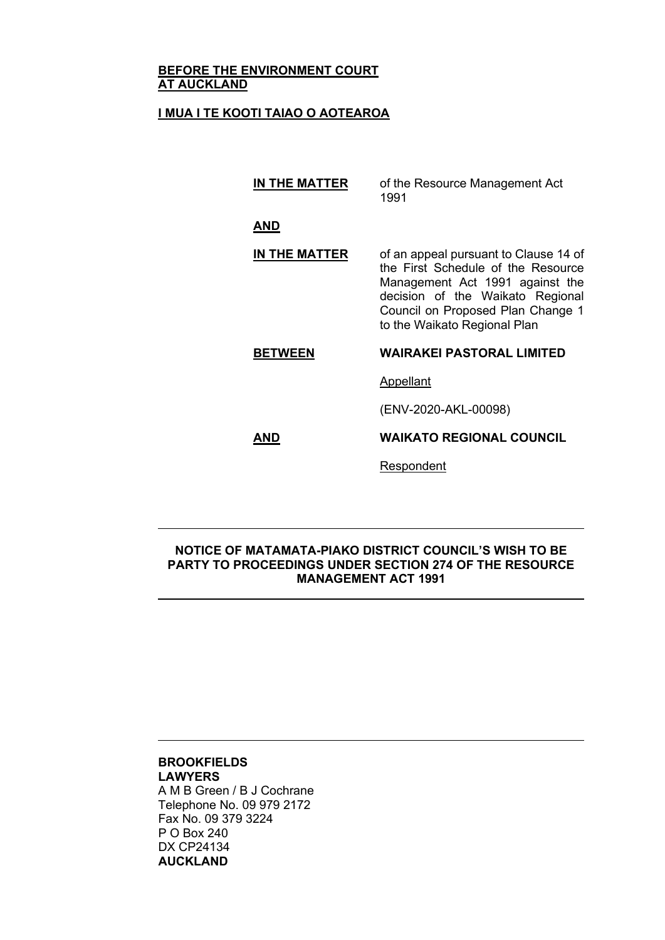### **BEFORE THE ENVIRONMENT COURT AT AUCKLAND**

### **I MUA I TE KOOTI TAIAO O AOTEAROA**

**IN THE MATTER** of the Resource Management Act 1991

**AND**

### **IN THE MATTER** of an appeal pursuant to Clause 14 of the First Schedule of the Resource Management Act 1991 against the decision of the Waikato Regional Council on Proposed Plan Change 1 to the Waikato Regional Plan

# **BETWEEN WAIRAKEI PASTORAL LIMITED**

**Appellant** 

(ENV-2020-AKL-00098)

### **AND WAIKATO REGIONAL COUNCIL**

**Respondent** 

### **NOTICE OF MATAMATA-PIAKO DISTRICT COUNCIL'S WISH TO BE PARTY TO PROCEEDINGS UNDER SECTION 274 OF THE RESOURCE MANAGEMENT ACT 1991**

#### **BROOKFIELDS LAWYERS**

A M B Green / B J Cochrane Telephone No. 09 979 2172 Fax No. 09 379 3224 P O Box 240 DX CP24134 **AUCKLAND**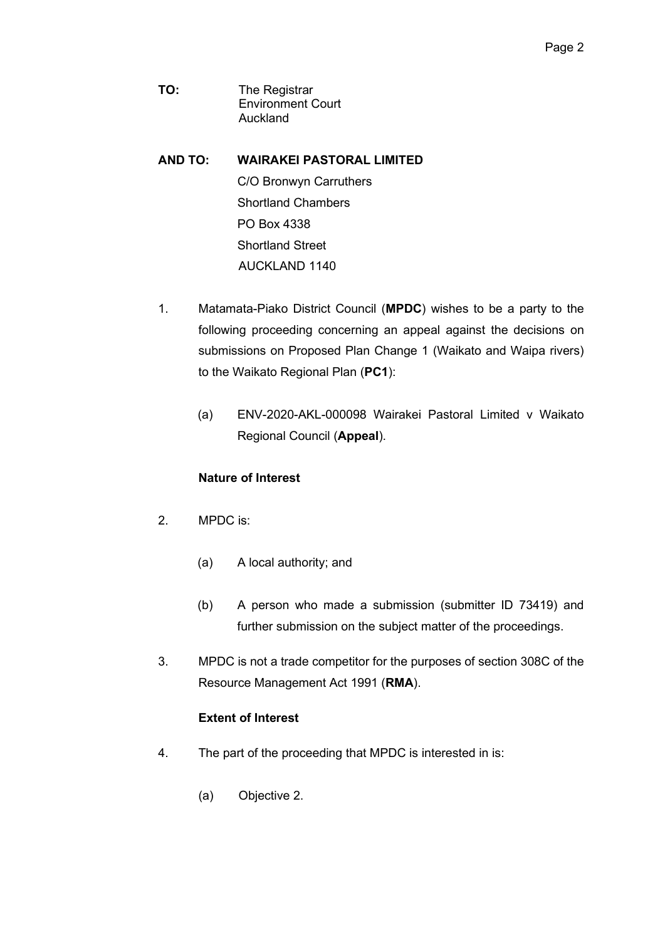- **TO:** The Registrar Environment Court Auckland
- **AND TO: WAIRAKEI PASTORAL LIMITED** C/O Bronwyn Carruthers Shortland Chambers PO Box 4338 Shortland Street AUCKLAND 1140
- 1. Matamata-Piako District Council (**MPDC**) wishes to be a party to the following proceeding concerning an appeal against the decisions on submissions on Proposed Plan Change 1 (Waikato and Waipa rivers) to the Waikato Regional Plan (**PC1**):
	- (a) ENV-2020-AKL-000098 Wairakei Pastoral Limited v Waikato Regional Council (**Appeal**).

# **Nature of Interest**

- 2. MPDC is:
	- (a) A local authority; and
	- (b) A person who made a submission (submitter ID 73419) and further submission on the subject matter of the proceedings.
- 3. MPDC is not a trade competitor for the purposes of section 308C of the Resource Management Act 1991 (**RMA**).

# **Extent of Interest**

- 4. The part of the proceeding that MPDC is interested in is:
	- (a) Objective 2.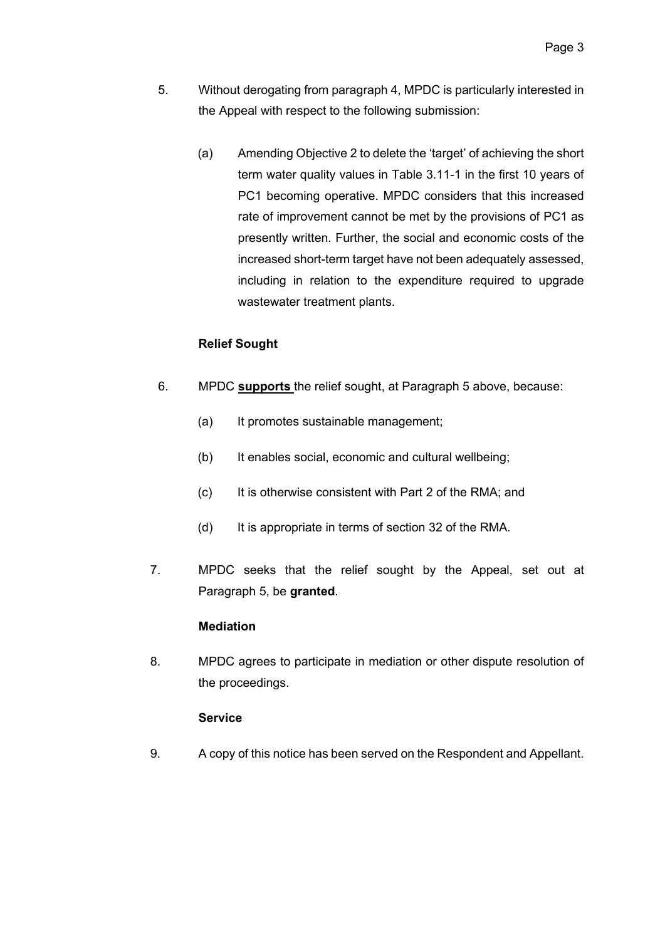- 5. Without derogating from paragraph 4, MPDC is particularly interested in the Appeal with respect to the following submission:
	- (a) Amending Objective 2 to delete the 'target' of achieving the short term water quality values in Table 3.11-1 in the first 10 years of PC1 becoming operative. MPDC considers that this increased rate of improvement cannot be met by the provisions of PC1 as presently written. Further, the social and economic costs of the increased short-term target have not been adequately assessed, including in relation to the expenditure required to upgrade wastewater treatment plants.

# **Relief Sought**

- 6. MPDC **supports** the relief sought, at Paragraph 5 above, because:
	- (a) It promotes sustainable management;
	- (b) It enables social, economic and cultural wellbeing;
	- (c) It is otherwise consistent with Part 2 of the RMA; and
	- (d) It is appropriate in terms of section 32 of the RMA.
- 7. MPDC seeks that the relief sought by the Appeal, set out at Paragraph 5, be **granted**.

# **Mediation**

8. MPDC agrees to participate in mediation or other dispute resolution of the proceedings.

# **Service**

9. A copy of this notice has been served on the Respondent and Appellant.